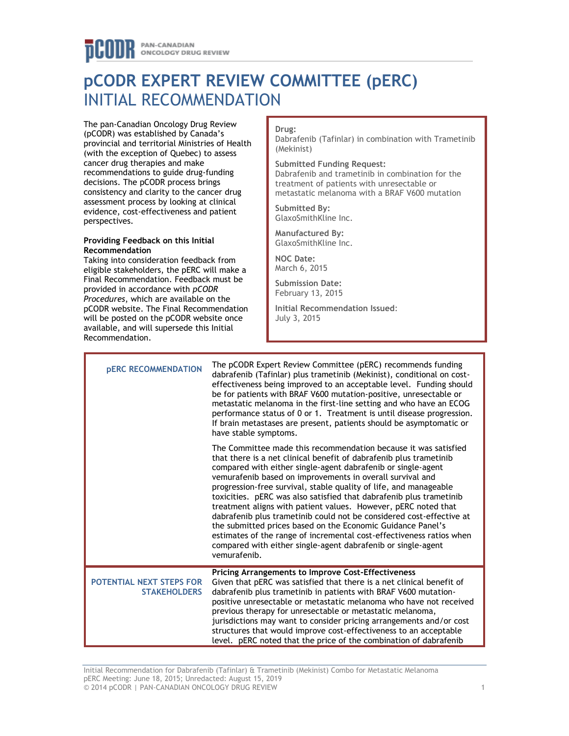# **pCODR EXPERT REVIEW COMMITTEE (pERC)** INITIAL RECOMMENDATION

The pan-Canadian Oncology Drug Review (pCODR) was established by Canada's provincial and territorial Ministries of Health (with the exception of Quebec) to assess cancer drug therapies and make recommendations to guide drug-funding decisions. The pCODR process brings consistency and clarity to the cancer drug assessment process by looking at clinical evidence, cost-effectiveness and patient perspectives.

#### **Providing Feedback on this Initial Recommendation**

Taking into consideration feedback from eligible stakeholders, the pERC will make a Final Recommendation. Feedback must be provided in accordance with *pCODR Procedures*, which are available on the pCODR website. The Final Recommendation will be posted on the pCODR website once available, and will supersede this Initial Recommendation.

#### **Drug:**

Dabrafenib (Tafinlar) in combination with Trametinib (Mekinist)

#### **Submitted Funding Request:**

Dabrafenib and trametinib in combination for the treatment of patients with unresectable or metastatic melanoma with a BRAF V600 mutation

**Submitted By:** GlaxoSmithKline Inc.

**Manufactured By:** GlaxoSmithKline Inc.

**NOC Date:** March 6, 2015

**Submission Date:** February 13, 2015

**Initial Recommendation Issued**: July 3, 2015

| <b>PERC RECOMMENDATION</b>                      | The pCODR Expert Review Committee (pERC) recommends funding<br>dabrafenib (Tafinlar) plus trametinib (Mekinist), conditional on cost-<br>effectiveness being improved to an acceptable level. Funding should<br>be for patients with BRAF V600 mutation-positive, unresectable or<br>metastatic melanoma in the first-line setting and who have an ECOG<br>performance status of 0 or 1. Treatment is until disease progression.<br>If brain metastases are present, patients should be asymptomatic or<br>have stable symptoms.                                                                                                                                                                                                                                                |  |
|-------------------------------------------------|---------------------------------------------------------------------------------------------------------------------------------------------------------------------------------------------------------------------------------------------------------------------------------------------------------------------------------------------------------------------------------------------------------------------------------------------------------------------------------------------------------------------------------------------------------------------------------------------------------------------------------------------------------------------------------------------------------------------------------------------------------------------------------|--|
|                                                 | The Committee made this recommendation because it was satisfied<br>that there is a net clinical benefit of dabrafenib plus trametinib<br>compared with either single-agent dabrafenib or single-agent<br>vemurafenib based on improvements in overall survival and<br>progression-free survival, stable quality of life, and manageable<br>toxicities. pERC was also satisfied that dabrafenib plus trametinib<br>treatment aligns with patient values. However, pERC noted that<br>dabrafenib plus trametinib could not be considered cost-effective at<br>the submitted prices based on the Economic Guidance Panel's<br>estimates of the range of incremental cost-effectiveness ratios when<br>compared with either single-agent dabrafenib or single-agent<br>vemurafenib. |  |
| POTENTIAL NEXT STEPS FOR<br><b>STAKEHOLDERS</b> | Pricing Arrangements to Improve Cost-Effectiveness<br>Given that pERC was satisfied that there is a net clinical benefit of<br>dabrafenib plus trametinib in patients with BRAF V600 mutation-<br>positive unresectable or metastatic melanoma who have not received<br>previous therapy for unresectable or metastatic melanoma,<br>jurisdictions may want to consider pricing arrangements and/or cost<br>structures that would improve cost-effectiveness to an acceptable<br>level. pERC noted that the price of the combination of dabrafenib                                                                                                                                                                                                                              |  |

Initial Recommendation for Dabrafenib (Tafinlar) & Trametinib (Mekinist) Combo for Metastatic Melanoma pERC Meeting: June 18, 2015; Unredacted: August 15, 2019 © 2014 pCODR | PAN-CANADIAN ONCOLOGY DRUG REVIEW 1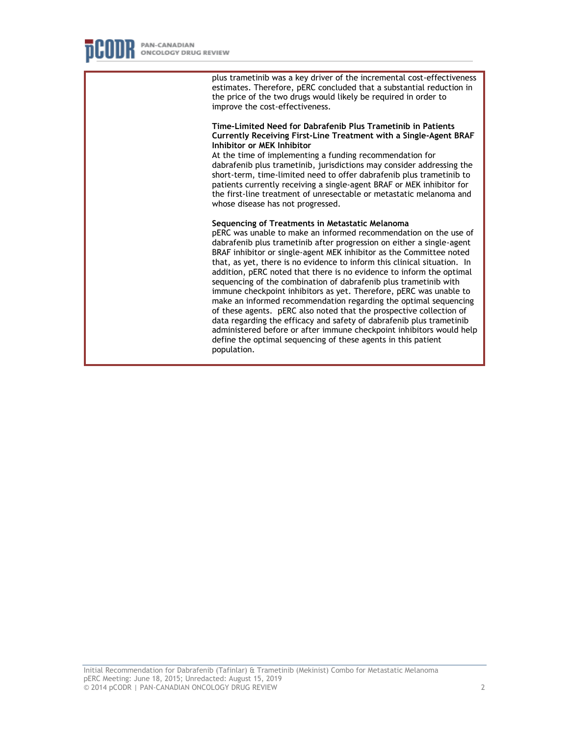plus trametinib was a key driver of the incremental cost-effectiveness estimates. Therefore, pERC concluded that a substantial reduction in the price of the two drugs would likely be required in order to improve the cost-effectiveness.

#### **Time-Limited Need for Dabrafenib Plus Trametinib in Patients Currently Receiving First-Line Treatment with a Single-Agent BRAF Inhibitor or MEK Inhibitor**

At the time of implementing a funding recommendation for dabrafenib plus trametinib, jurisdictions may consider addressing the short-term, time-limited need to offer dabrafenib plus trametinib to patients currently receiving a single-agent BRAF or MEK inhibitor for the first-line treatment of unresectable or metastatic melanoma and whose disease has not progressed.

#### **Sequencing of Treatments in Metastatic Melanoma**

pERC was unable to make an informed recommendation on the use of dabrafenib plus trametinib after progression on either a single-agent BRAF inhibitor or single-agent MEK inhibitor as the Committee noted that, as yet, there is no evidence to inform this clinical situation. In addition, pERC noted that there is no evidence to inform the optimal sequencing of the combination of dabrafenib plus trametinib with immune checkpoint inhibitors as yet. Therefore, pERC was unable to make an informed recommendation regarding the optimal sequencing of these agents. pERC also noted that the prospective collection of data regarding the efficacy and safety of dabrafenib plus trametinib administered before or after immune checkpoint inhibitors would help define the optimal sequencing of these agents in this patient population.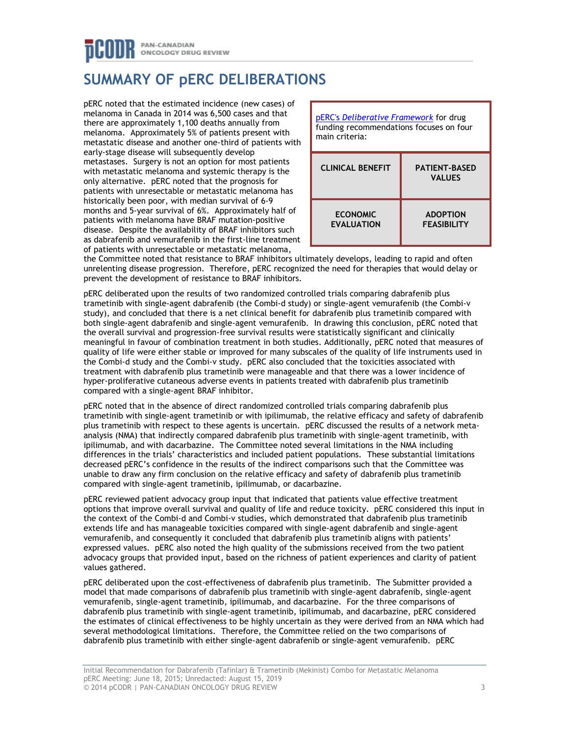## PAN-CANADIAN ONCOLOGY DRUG REVIEW

# **SUMMARY OF pERC DELIBERATIONS**

pERC noted that the estimated incidence (new cases) of melanoma in Canada in 2014 was 6,500 cases and that there are approximately 1,100 deaths annually from melanoma. Approximately 5% of patients present with metastatic disease and another one-third of patients with early-stage disease will subsequently develop metastases. Surgery is not an option for most patients with metastatic melanoma and systemic therapy is the only alternative. pERC noted that the prognosis for patients with unresectable or metastatic melanoma has historically been poor, with median survival of 6-9 months and 5-year survival of 6%. Approximately half of patients with melanoma have BRAF mutation-positive disease. Despite the availability of BRAF inhibitors such as dabrafenib and vemurafenib in the first-line treatment of patients with unresectable or metastatic melanoma,



the Committee noted that resistance to BRAF inhibitors ultimately develops, leading to rapid and often unrelenting disease progression. Therefore, pERC recognized the need for therapies that would delay or prevent the development of resistance to BRAF inhibitors.

pERC deliberated upon the results of two randomized controlled trials comparing dabrafenib plus trametinib with single-agent dabrafenib (the Combi-d study) or single-agent vemurafenib (the Combi-v study), and concluded that there is a net clinical benefit for dabrafenib plus trametinib compared with both single-agent dabrafenib and single-agent vemurafenib. In drawing this conclusion, pERC noted that the overall survival and progression-free survival results were statistically significant and clinically meaningful in favour of combination treatment in both studies. Additionally, pERC noted that measures of quality of life were either stable or improved for many subscales of the quality of life instruments used in the Combi-d study and the Combi-v study. pERC also concluded that the toxicities associated with treatment with dabrafenib plus trametinib were manageable and that there was a lower incidence of hyper-proliferative cutaneous adverse events in patients treated with dabrafenib plus trametinib compared with a single-agent BRAF inhibitor.

pERC noted that in the absence of direct randomized controlled trials comparing dabrafenib plus trametinib with single-agent trametinib or with ipilimumab, the relative efficacy and safety of dabrafenib plus trametinib with respect to these agents is uncertain. pERC discussed the results of a network metaanalysis (NMA) that indirectly compared dabrafenib plus trametinib with single-agent trametinib, with ipilimumab, and with dacarbazine. The Committee noted several limitations in the NMA including differences in the trials' characteristics and included patient populations. These substantial limitations decreased pERC's confidence in the results of the indirect comparisons such that the Committee was unable to draw any firm conclusion on the relative efficacy and safety of dabrafenib plus trametinib compared with single-agent trametinib, ipilimumab, or dacarbazine.

pERC reviewed patient advocacy group input that indicated that patients value effective treatment options that improve overall survival and quality of life and reduce toxicity. pERC considered this input in the context of the Combi-d and Combi-v studies, which demonstrated that dabrafenib plus trametinib extends life and has manageable toxicities compared with single-agent dabrafenib and single-agent vemurafenib, and consequently it concluded that dabrafenib plus trametinib aligns with patients' expressed values. pERC also noted the high quality of the submissions received from the two patient advocacy groups that provided input, based on the richness of patient experiences and clarity of patient values gathered.

pERC deliberated upon the cost-effectiveness of dabrafenib plus trametinib. The Submitter provided a model that made comparisons of dabrafenib plus trametinib with single-agent dabrafenib, single-agent vemurafenib, single-agent trametinib, ipilimumab, and dacarbazine. For the three comparisons of dabrafenib plus trametinib with single-agent trametinib, ipilimumab, and dacarbazine, pERC considered the estimates of clinical effectiveness to be highly uncertain as they were derived from an NMA which had several methodological limitations. Therefore, the Committee relied on the two comparisons of dabrafenib plus trametinib with either single-agent dabrafenib or single-agent vemurafenib. pERC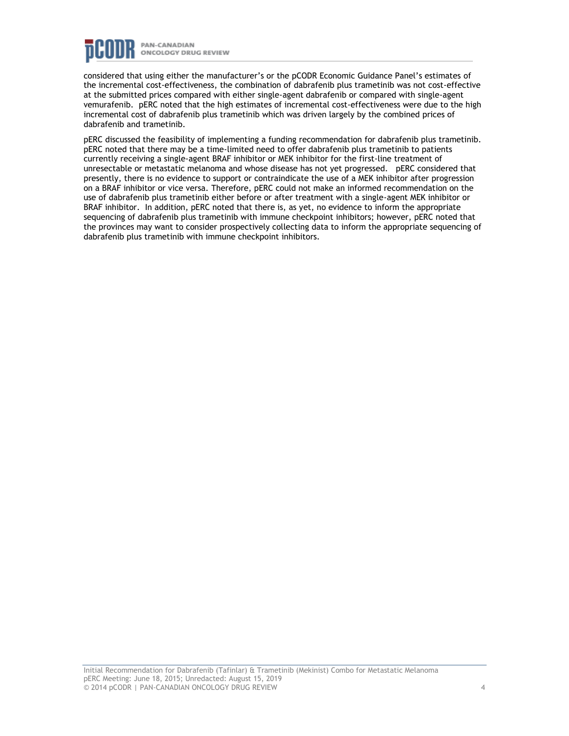

considered that using either the manufacturer's or the pCODR Economic Guidance Panel's estimates of the incremental cost-effectiveness, the combination of dabrafenib plus trametinib was not cost-effective at the submitted prices compared with either single-agent dabrafenib or compared with single-agent vemurafenib. pERC noted that the high estimates of incremental cost-effectiveness were due to the high incremental cost of dabrafenib plus trametinib which was driven largely by the combined prices of dabrafenib and trametinib.

pERC discussed the feasibility of implementing a funding recommendation for dabrafenib plus trametinib. pERC noted that there may be a time-limited need to offer dabrafenib plus trametinib to patients currently receiving a single-agent BRAF inhibitor or MEK inhibitor for the first-line treatment of unresectable or metastatic melanoma and whose disease has not yet progressed. pERC considered that presently, there is no evidence to support or contraindicate the use of a MEK inhibitor after progression on a BRAF inhibitor or vice versa. Therefore, pERC could not make an informed recommendation on the use of dabrafenib plus trametinib either before or after treatment with a single-agent MEK inhibitor or BRAF inhibitor. In addition, pERC noted that there is, as yet, no evidence to inform the appropriate sequencing of dabrafenib plus trametinib with immune checkpoint inhibitors; however, pERC noted that the provinces may want to consider prospectively collecting data to inform the appropriate sequencing of dabrafenib plus trametinib with immune checkpoint inhibitors.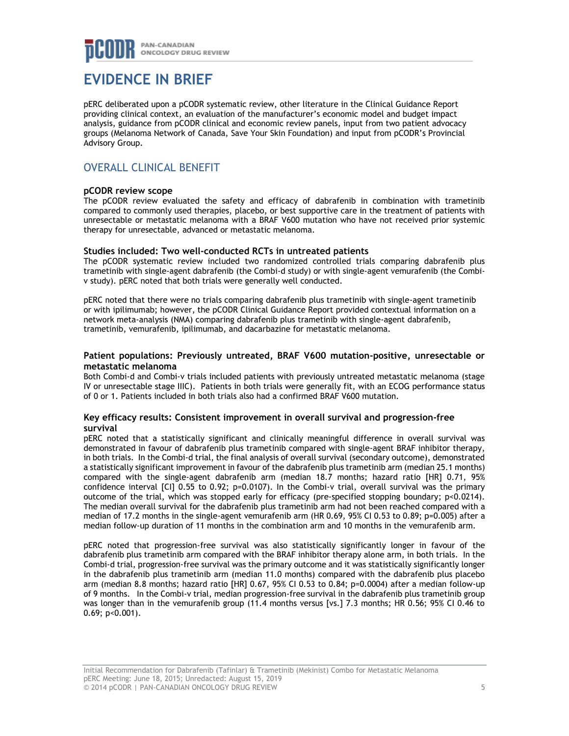

## **EVIDENCE IN BRIEF**

pERC deliberated upon a pCODR systematic review, other literature in the Clinical Guidance Report providing clinical context, an evaluation of the manufacturer's economic model and budget impact analysis, guidance from pCODR clinical and economic review panels, input from two patient advocacy groups (Melanoma Network of Canada, Save Your Skin Foundation) and input from pCODR's Provincial Advisory Group.

## OVERALL CLINICAL BENEFIT

#### **pCODR review scope**

The pCODR review evaluated the safety and efficacy of dabrafenib in combination with trametinib compared to commonly used therapies, placebo, or best supportive care in the treatment of patients with unresectable or metastatic melanoma with a BRAF V600 mutation who have not received prior systemic therapy for unresectable, advanced or metastatic melanoma.

### **Studies included: Two well-conducted RCTs in untreated patients**

The pCODR systematic review included two randomized controlled trials comparing dabrafenib plus trametinib with single-agent dabrafenib (the Combi-d study) or with single-agent vemurafenib (the Combiv study). pERC noted that both trials were generally well conducted.

pERC noted that there were no trials comparing dabrafenib plus trametinib with single-agent trametinib or with ipilimumab; however, the pCODR Clinical Guidance Report provided contextual information on a network meta-analysis (NMA) comparing dabrafenib plus trametinib with single-agent dabrafenib, trametinib, vemurafenib, ipilimumab, and dacarbazine for metastatic melanoma.

#### **Patient populations: Previously untreated, BRAF V600 mutation-positive, unresectable or metastatic melanoma**

Both Combi-d and Combi-v trials included patients with previously untreated metastatic melanoma (stage IV or unresectable stage IIIC). Patients in both trials were generally fit, with an ECOG performance status of 0 or 1. Patients included in both trials also had a confirmed BRAF V600 mutation.

#### **Key efficacy results: Consistent improvement in overall survival and progression-free survival**

pERC noted that a statistically significant and clinically meaningful difference in overall survival was demonstrated in favour of dabrafenib plus trametinib compared with single-agent BRAF inhibitor therapy, in both trials. In the Combi-d trial, the final analysis of overall survival (secondary outcome), demonstrated a statistically significant improvement in favour of the dabrafenib plus trametinib arm (median 25.1 months) compared with the single-agent dabrafenib arm (median 18.7 months; hazard ratio [HR] 0.71, 95% confidence interval [CI] 0.55 to 0.92; p=0.0107). In the Combi-v trial, overall survival was the primary outcome of the trial, which was stopped early for efficacy (pre-specified stopping boundary; p<0.0214). The median overall survival for the dabrafenib plus trametinib arm had not been reached compared with a median of 17.2 months in the single-agent vemurafenib arm (HR 0.69, 95% CI 0.53 to 0.89; p=0.005) after a median follow-up duration of 11 months in the combination arm and 10 months in the vemurafenib arm.

pERC noted that progression-free survival was also statistically significantly longer in favour of the dabrafenib plus trametinib arm compared with the BRAF inhibitor therapy alone arm, in both trials. In the Combi-d trial, progression-free survival was the primary outcome and it was statistically significantly longer in the dabrafenib plus trametinib arm (median 11.0 months) compared with the dabrafenib plus placebo arm (median 8.8 months; hazard ratio [HR] 0.67, 95% CI 0.53 to 0.84; p=0.0004) after a median follow-up of 9 months. In the Combi-v trial, median progression-free survival in the dabrafenib plus trametinib group was longer than in the vemurafenib group (11.4 months versus [vs.] 7.3 months; HR 0.56; 95% CI 0.46 to 0.69; p<0.001).

Initial Recommendation for Dabrafenib (Tafinlar) & Trametinib (Mekinist) Combo for Metastatic Melanoma pERC Meeting: June 18, 2015; Unredacted: August 15, 2019 © 2014 pCODR | PAN-CANADIAN ONCOLOGY DRUG REVIEW 5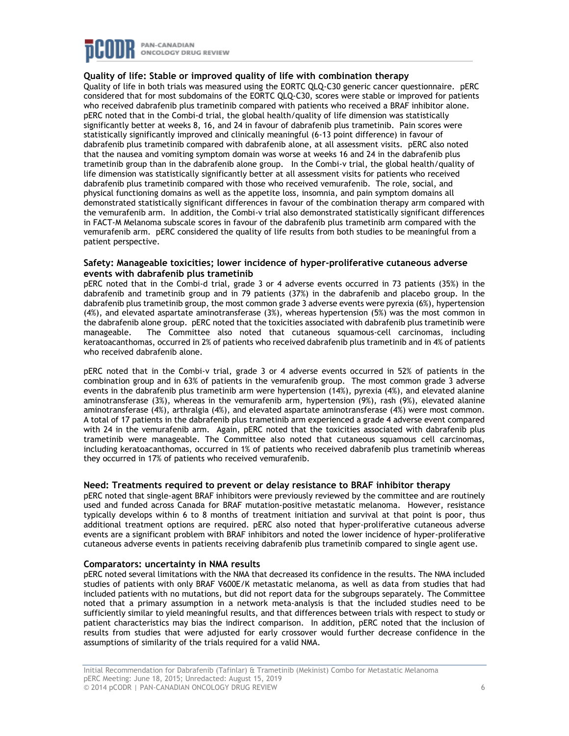

#### **Quality of life: Stable or improved quality of life with combination therapy**

Quality of life in both trials was measured using the EORTC QLQ-C30 generic cancer questionnaire. pERC considered that for most subdomains of the EORTC QLQ-C30, scores were stable or improved for patients who received dabrafenib plus trametinib compared with patients who received a BRAF inhibitor alone. pERC noted that in the Combi-d trial, the global health/quality of life dimension was statistically significantly better at weeks 8, 16, and 24 in favour of dabrafenib plus trametinib. Pain scores were statistically significantly improved and clinically meaningful (6-13 point difference) in favour of dabrafenib plus trametinib compared with dabrafenib alone, at all assessment visits. pERC also noted that the nausea and vomiting symptom domain was worse at weeks 16 and 24 in the dabrafenib plus trametinib group than in the dabrafenib alone group. In the Combi-v trial, the global health/quality of life dimension was statistically significantly better at all assessment visits for patients who received dabrafenib plus trametinib compared with those who received vemurafenib. The role, social, and physical functioning domains as well as the appetite loss, insomnia, and pain symptom domains all demonstrated statistically significant differences in favour of the combination therapy arm compared with the vemurafenib arm. In addition, the Combi-v trial also demonstrated statistically significant differences in FACT-M Melanoma subscale scores in favour of the dabrafenib plus trametinib arm compared with the vemurafenib arm. pERC considered the quality of life results from both studies to be meaningful from a patient perspective.

#### **Safety: Manageable toxicities; lower incidence of hyper-proliferative cutaneous adverse events with dabrafenib plus trametinib**

pERC noted that in the Combi-d trial, grade 3 or 4 adverse events occurred in 73 patients (35%) in the dabrafenib and trametinib group and in 79 patients (37%) in the dabrafenib and placebo group. In the dabrafenib plus trametinib group, the most common grade 3 adverse events were pyrexia (6%), hypertension (4%), and elevated aspartate aminotransferase (3%), whereas hypertension (5%) was the most common in the dabrafenib alone group. pERC noted that the toxicities associated with dabrafenib plus trametinib were manageable. The Committee also noted that cutaneous squamous-cell carcinomas, including keratoacanthomas, occurred in 2% of patients who received dabrafenib plus trametinib and in 4% of patients who received dabrafenib alone.

pERC noted that in the Combi-v trial, grade 3 or 4 adverse events occurred in 52% of patients in the combination group and in 63% of patients in the vemurafenib group. The most common grade 3 adverse events in the dabrafenib plus trametinib arm were hypertension (14%), pyrexia (4%), and elevated alanine aminotransferase (3%), whereas in the vemurafenib arm, hypertension (9%), rash (9%), elevated alanine aminotransferase (4%), arthralgia (4%), and elevated aspartate aminotransferase (4%) were most common. A total of 17 patients in the dabrafenib plus trametinib arm experienced a grade 4 adverse event compared with 24 in the vemurafenib arm. Again, pERC noted that the toxicities associated with dabrafenib plus trametinib were manageable. The Committee also noted that cutaneous squamous cell carcinomas, including keratoacanthomas, occurred in 1% of patients who received dabrafenib plus trametinib whereas they occurred in 17% of patients who received vemurafenib.

#### **Need: Treatments required to prevent or delay resistance to BRAF inhibitor therapy**

pERC noted that single-agent BRAF inhibitors were previously reviewed by the committee and are routinely used and funded across Canada for BRAF mutation-positive metastatic melanoma. However, resistance typically develops within 6 to 8 months of treatment initiation and survival at that point is poor, thus additional treatment options are required. pERC also noted that hyper-proliferative cutaneous adverse events are a significant problem with BRAF inhibitors and noted the lower incidence of hyper-proliferative cutaneous adverse events in patients receiving dabrafenib plus trametinib compared to single agent use.

#### **Comparators: uncertainty in NMA results**

pERC noted several limitations with the NMA that decreased its confidence in the results. The NMA included studies of patients with only BRAF V600E/K metastatic melanoma, as well as data from studies that had included patients with no mutations, but did not report data for the subgroups separately. The Committee noted that a primary assumption in a network meta-analysis is that the included studies need to be sufficiently similar to yield meaningful results, and that differences between trials with respect to study or patient characteristics may bias the indirect comparison. In addition, pERC noted that the inclusion of results from studies that were adjusted for early crossover would further decrease confidence in the assumptions of similarity of the trials required for a valid NMA.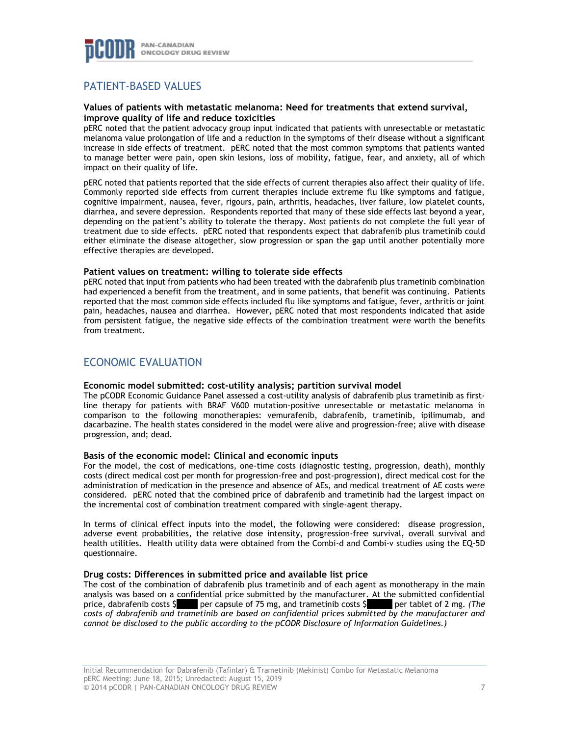

## PATIENT-BASED VALUES

#### **Values of patients with metastatic melanoma: Need for treatments that extend survival, improve quality of life and reduce toxicities**

pERC noted that the patient advocacy group input indicated that patients with unresectable or metastatic melanoma value prolongation of life and a reduction in the symptoms of their disease without a significant increase in side effects of treatment. pERC noted that the most common symptoms that patients wanted to manage better were pain, open skin lesions, loss of mobility, fatigue, fear, and anxiety, all of which impact on their quality of life.

pERC noted that patients reported that the side effects of current therapies also affect their quality of life. Commonly reported side effects from current therapies include extreme flu like symptoms and fatigue, cognitive impairment, nausea, fever, rigours, pain, arthritis, headaches, liver failure, low platelet counts, diarrhea, and severe depression. Respondents reported that many of these side effects last beyond a year, depending on the patient's ability to tolerate the therapy. Most patients do not complete the full year of treatment due to side effects. pERC noted that respondents expect that dabrafenib plus trametinib could either eliminate the disease altogether, slow progression or span the gap until another potentially more effective therapies are developed.

#### **Patient values on treatment: willing to tolerate side effects**

pERC noted that input from patients who had been treated with the dabrafenib plus trametinib combination had experienced a benefit from the treatment, and in some patients, that benefit was continuing. Patients reported that the most common side effects included flu like symptoms and fatigue, fever, arthritis or joint pain, headaches, nausea and diarrhea. However, pERC noted that most respondents indicated that aside from persistent fatigue, the negative side effects of the combination treatment were worth the benefits from treatment.

### ECONOMIC EVALUATION

### **Economic model submitted: cost-utility analysis; partition survival model**

The pCODR Economic Guidance Panel assessed a cost-utility analysis of dabrafenib plus trametinib as firstline therapy for patients with BRAF V600 mutation-positive unresectable or metastatic melanoma in comparison to the following monotherapies: vemurafenib, dabrafenib, trametinib, ipilimumab, and dacarbazine. The health states considered in the model were alive and progression-free; alive with disease progression, and; dead.

#### **Basis of the economic model: Clinical and economic inputs**

For the model, the cost of medications, one-time costs (diagnostic testing, progression, death), monthly costs (direct medical cost per month for progression-free and post-progression), direct medical cost for the administration of medication in the presence and absence of AEs, and medical treatment of AE costs were considered. pERC noted that the combined price of dabrafenib and trametinib had the largest impact on the incremental cost of combination treatment compared with single-agent therapy.

In terms of clinical effect inputs into the model, the following were considered: disease progression, adverse event probabilities, the relative dose intensity, progression-free survival, overall survival and health utilities. Health utility data were obtained from the Combi-d and Combi-v studies using the EQ-5D questionnaire.

### **Drug costs: Differences in submitted price and available list price**

The cost of the combination of dabrafenib plus trametinib and of each agent as monotherapy in the main analysis was based on a confidential price submitted by the manufacturer. At the submitted confidential price, dabrafenib costs \$ per capsule of 75 mg, and trametinib costs \$ per tablet of 2 mg. *(The costs of dabrafenib and trametinib are based on confidential prices submitted by the manufacturer and cannot be disclosed to the public according to the pCODR Disclosure of Information Guidelines.)*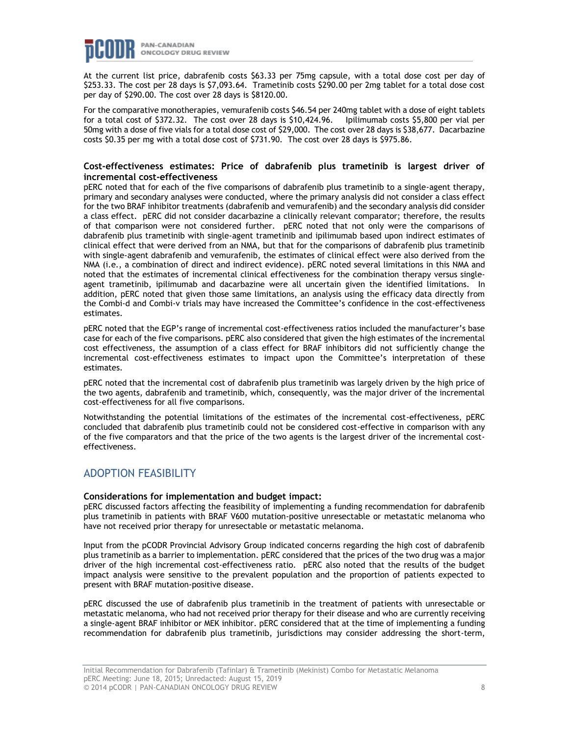

At the current list price, dabrafenib costs \$63.33 per 75mg capsule, with a total dose cost per day of \$253.33. The cost per 28 days is \$7,093.64. Trametinib costs \$290.00 per 2mg tablet for a total dose cost per day of \$290.00. The cost over 28 days is \$8120.00.

For the comparative monotherapies, vemurafenib costs \$46.54 per 240mg tablet with a dose of eight tablets for a total cost of \$372.32. The cost over 28 days is \$10,424.96. Ipilimumab costs \$5,800 per vial per 50mg with a dose of five vials for a total dose cost of \$29,000. The cost over 28 days is \$38,677. Dacarbazine costs \$0.35 per mg with a total dose cost of \$731.90. The cost over 28 days is \$975.86.

#### **Cost-effectiveness estimates: Price of dabrafenib plus trametinib is largest driver of incremental cost-effectiveness**

pERC noted that for each of the five comparisons of dabrafenib plus trametinib to a single-agent therapy, primary and secondary analyses were conducted, where the primary analysis did not consider a class effect for the two BRAF inhibitor treatments (dabrafenib and vemurafenib) and the secondary analysis did consider a class effect. pERC did not consider dacarbazine a clinically relevant comparator; therefore, the results of that comparison were not considered further. pERC noted that not only were the comparisons of dabrafenib plus trametinib with single-agent trametinib and ipilimumab based upon indirect estimates of clinical effect that were derived from an NMA, but that for the comparisons of dabrafenib plus trametinib with single-agent dabrafenib and vemurafenib, the estimates of clinical effect were also derived from the NMA (i.e., a combination of direct and indirect evidence). pERC noted several limitations in this NMA and noted that the estimates of incremental clinical effectiveness for the combination therapy versus singleagent trametinib, ipilimumab and dacarbazine were all uncertain given the identified limitations. In addition, pERC noted that given those same limitations, an analysis using the efficacy data directly from the Combi-d and Combi-v trials may have increased the Committee's confidence in the cost-effectiveness estimates.

pERC noted that the EGP's range of incremental cost-effectiveness ratios included the manufacturer's base case for each of the five comparisons. pERC also considered that given the high estimates of the incremental cost effectiveness, the assumption of a class effect for BRAF inhibitors did not sufficiently change the incremental cost-effectiveness estimates to impact upon the Committee's interpretation of these estimates.

pERC noted that the incremental cost of dabrafenib plus trametinib was largely driven by the high price of the two agents, dabrafenib and trametinib, which, consequently, was the major driver of the incremental cost-effectiveness for all five comparisons.

Notwithstanding the potential limitations of the estimates of the incremental cost-effectiveness, pERC concluded that dabrafenib plus trametinib could not be considered cost-effective in comparison with any of the five comparators and that the price of the two agents is the largest driver of the incremental costeffectiveness.

### ADOPTION FEASIBILITY

#### **Considerations for implementation and budget impact:**

pERC discussed factors affecting the feasibility of implementing a funding recommendation for dabrafenib plus trametinib in patients with BRAF V600 mutation-positive unresectable or metastatic melanoma who have not received prior therapy for unresectable or metastatic melanoma.

Input from the pCODR Provincial Advisory Group indicated concerns regarding the high cost of dabrafenib plus trametinib as a barrier to implementation. pERC considered that the prices of the two drug was a major driver of the high incremental cost-effectiveness ratio. pERC also noted that the results of the budget impact analysis were sensitive to the prevalent population and the proportion of patients expected to present with BRAF mutation-positive disease.

pERC discussed the use of dabrafenib plus trametinib in the treatment of patients with unresectable or metastatic melanoma, who had not received prior therapy for their disease and who are currently receiving a single-agent BRAF inhibitor or MEK inhibitor. pERC considered that at the time of implementing a funding recommendation for dabrafenib plus trametinib, jurisdictions may consider addressing the short-term,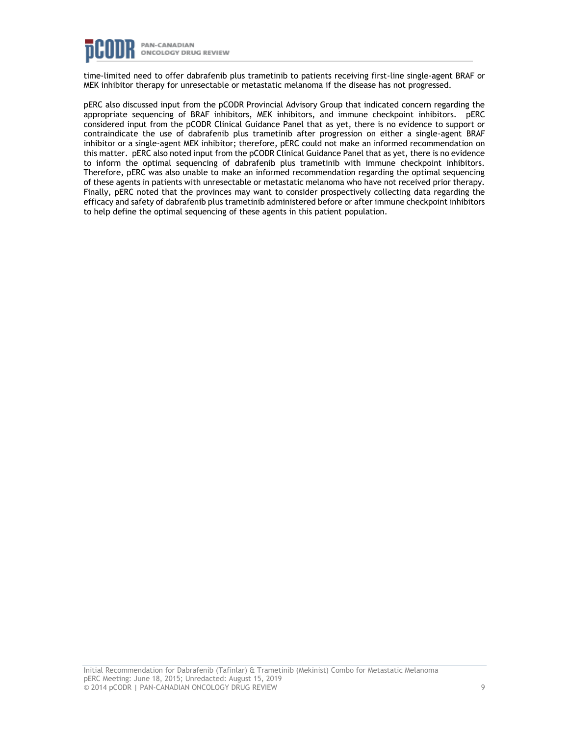

time-limited need to offer dabrafenib plus trametinib to patients receiving first-line single-agent BRAF or MEK inhibitor therapy for unresectable or metastatic melanoma if the disease has not progressed.

pERC also discussed input from the pCODR Provincial Advisory Group that indicated concern regarding the appropriate sequencing of BRAF inhibitors, MEK inhibitors, and immune checkpoint inhibitors. pERC considered input from the pCODR Clinical Guidance Panel that as yet, there is no evidence to support or contraindicate the use of dabrafenib plus trametinib after progression on either a single-agent BRAF inhibitor or a single-agent MEK inhibitor; therefore, pERC could not make an informed recommendation on this matter. pERC also noted input from the pCODR Clinical Guidance Panel that as yet, there is no evidence to inform the optimal sequencing of dabrafenib plus trametinib with immune checkpoint inhibitors. Therefore, pERC was also unable to make an informed recommendation regarding the optimal sequencing of these agents in patients with unresectable or metastatic melanoma who have not received prior therapy. Finally, pERC noted that the provinces may want to consider prospectively collecting data regarding the efficacy and safety of dabrafenib plus trametinib administered before or after immune checkpoint inhibitors to help define the optimal sequencing of these agents in this patient population.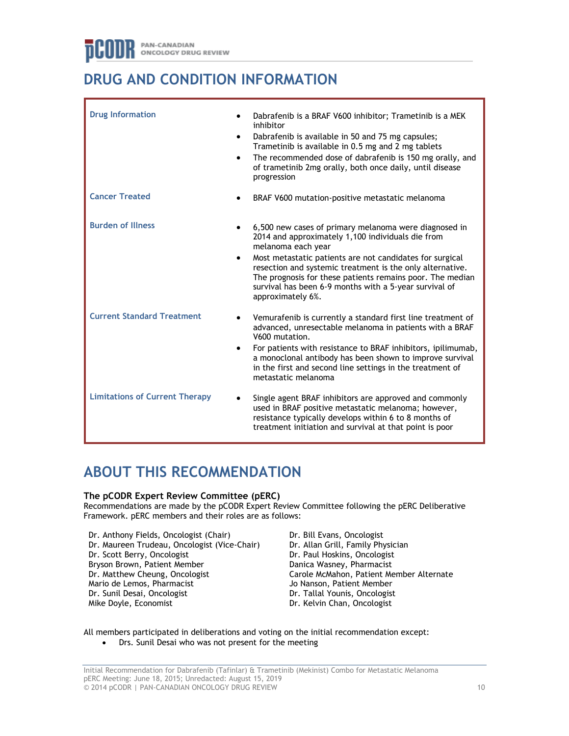# **DRUG AND CONDITION INFORMATION**

| <b>Drug Information</b>               | $\bullet$ | Dabrafenib is a BRAF V600 inhibitor; Trametinib is a MEK<br>inhibitor<br>Dabrafenib is available in 50 and 75 mg capsules;<br>Trametinib is available in 0.5 mg and 2 mg tablets<br>The recommended dose of dabrafenib is 150 mg orally, and<br>of trametinib 2mg orally, both once daily, until disease<br>progression                                                                               |
|---------------------------------------|-----------|-------------------------------------------------------------------------------------------------------------------------------------------------------------------------------------------------------------------------------------------------------------------------------------------------------------------------------------------------------------------------------------------------------|
| <b>Cancer Treated</b>                 |           | BRAF V600 mutation-positive metastatic melanoma                                                                                                                                                                                                                                                                                                                                                       |
| <b>Burden of Illness</b>              | $\bullet$ | 6,500 new cases of primary melanoma were diagnosed in<br>2014 and approximately 1,100 individuals die from<br>melanoma each year<br>Most metastatic patients are not candidates for surgical<br>resection and systemic treatment is the only alternative.<br>The prognosis for these patients remains poor. The median<br>survival has been 6-9 months with a 5-year survival of<br>approximately 6%. |
| <b>Current Standard Treatment</b>     |           | Vemurafenib is currently a standard first line treatment of<br>advanced, unresectable melanoma in patients with a BRAF<br>V600 mutation.<br>For patients with resistance to BRAF inhibitors, ipilimumab,<br>a monoclonal antibody has been shown to improve survival<br>in the first and second line settings in the treatment of<br>metastatic melanoma                                              |
| <b>Limitations of Current Therapy</b> |           | Single agent BRAF inhibitors are approved and commonly<br>used in BRAF positive metastatic melanoma; however,<br>resistance typically develops within 6 to 8 months of<br>treatment initiation and survival at that point is poor                                                                                                                                                                     |

# **ABOUT THIS RECOMMENDATION**

### **The pCODR Expert Review Committee (pERC)**

Recommendations are made by the pCODR Expert Review Committee following the pERC Deliberative Framework. pERC members and their roles are as follows:

- Dr. Anthony Fields, Oncologist (Chair) Dr. Maureen Trudeau, Oncologist (Vice-Chair) Dr. Scott Berry, Oncologist Bryson Brown, Patient Member Dr. Matthew Cheung, Oncologist Mario de Lemos, Pharmacist Dr. Sunil Desai, Oncologist Mike Doyle, Economist
- Dr. Bill Evans, Oncologist Dr. Allan Grill, Family Physician Dr. Paul Hoskins, Oncologist Danica Wasney, Pharmacist Carole McMahon, Patient Member Alternate Jo Nanson, Patient Member Dr. Tallal Younis, Oncologist Dr. Kelvin Chan, Oncologist

All members participated in deliberations and voting on the initial recommendation except:

• Drs. Sunil Desai who was not present for the meeting